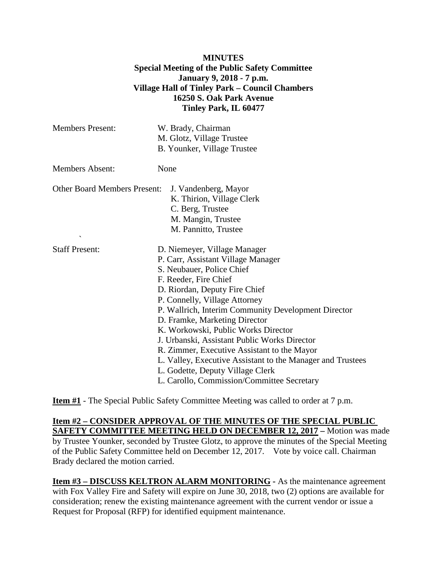## **MINUTES Special Meeting of the Public Safety Committee January 9, 2018 - 7 p.m. Village Hall of Tinley Park – Council Chambers 16250 S. Oak Park Avenue Tinley Park, IL 60477**

| <b>Members Present:</b>                  | W. Brady, Chairman<br>M. Glotz, Village Trustee<br>B. Younker, Village Trustee                                                                                                                                                                                                                                                                                                                                                                                                                                                                                           |
|------------------------------------------|--------------------------------------------------------------------------------------------------------------------------------------------------------------------------------------------------------------------------------------------------------------------------------------------------------------------------------------------------------------------------------------------------------------------------------------------------------------------------------------------------------------------------------------------------------------------------|
| <b>Members Absent:</b>                   | None                                                                                                                                                                                                                                                                                                                                                                                                                                                                                                                                                                     |
| <b>Other Board Members Present:</b><br>↖ | J. Vandenberg, Mayor<br>K. Thirion, Village Clerk<br>C. Berg, Trustee<br>M. Mangin, Trustee<br>M. Pannitto, Trustee                                                                                                                                                                                                                                                                                                                                                                                                                                                      |
| <b>Staff Present:</b>                    | D. Niemeyer, Village Manager<br>P. Carr, Assistant Village Manager<br>S. Neubauer, Police Chief<br>F. Reeder, Fire Chief<br>D. Riordan, Deputy Fire Chief<br>P. Connelly, Village Attorney<br>P. Wallrich, Interim Community Development Director<br>D. Framke, Marketing Director<br>K. Workowski, Public Works Director<br>J. Urbanski, Assistant Public Works Director<br>R. Zimmer, Executive Assistant to the Mayor<br>L. Valley, Executive Assistant to the Manager and Trustees<br>L. Godette, Deputy Village Clerk<br>L. Carollo, Commission/Committee Secretary |

**Item #1** - The Special Public Safety Committee Meeting was called to order at 7 p.m.

**Item #2 – CONSIDER APPROVAL OF THE MINUTES OF THE SPECIAL PUBLIC SAFETY COMMITTEE MEETING HELD ON DECEMBER 12, 2017 –** Motion was made by Trustee Younker, seconded by Trustee Glotz, to approve the minutes of the Special Meeting of the Public Safety Committee held on December 12, 2017. Vote by voice call. Chairman Brady declared the motion carried.

**Item #3 – DISCUSS KELTRON ALARM MONITORING -** As the maintenance agreement with Fox Valley Fire and Safety will expire on June 30, 2018, two (2) options are available for consideration; renew the existing maintenance agreement with the current vendor or issue a Request for Proposal (RFP) for identified equipment maintenance.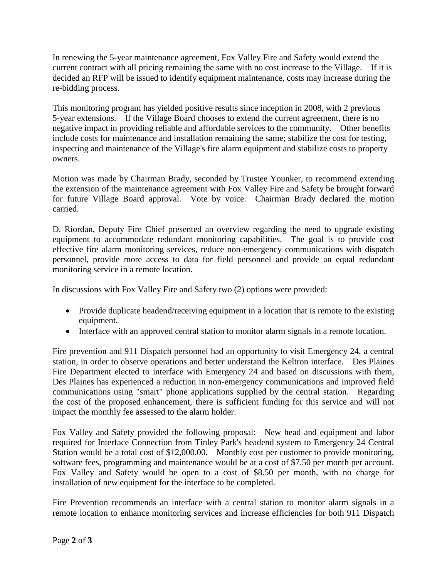In renewing the 5-year maintenance agreement, Fox Valley Fire and Safety would extend the current contract with all pricing remaining the same with no cost increase to the Village. If it is decided an RFP will be issued to identify equipment maintenance, costs may increase during the re-bidding process.

This monitoring program has yielded positive results since inception in 2008, with 2 previous 5-year extensions. If the Village Board chooses to extend the current agreement, there is no negative impact in providing reliable and affordable services to the community. Other benefits include costs for maintenance and installation remaining the same; stabilize the cost for testing, inspecting and maintenance of the Village's fire alarm equipment and stabilize costs to property owners.

Motion was made by Chairman Brady, seconded by Trustee Younker, to recommend extending the extension of the maintenance agreement with Fox Valley Fire and Safety be brought forward for future Village Board approval. Vote by voice. Chairman Brady declared the motion carried.

D. Riordan, Deputy Fire Chief presented an overview regarding the need to upgrade existing equipment to accommodate redundant monitoring capabilities. The goal is to provide cost effective fire alarm monitoring services, reduce non-emergency communications with dispatch personnel, provide more access to data for field personnel and provide an equal redundant monitoring service in a remote location.

In discussions with Fox Valley Fire and Safety two (2) options were provided:

- Provide duplicate headend/receiving equipment in a location that is remote to the existing equipment.
- Interface with an approved central station to monitor alarm signals in a remote location.

Fire prevention and 911 Dispatch personnel had an opportunity to visit Emergency 24, a central station, in order to observe operations and better understand the Keltron interface. Des Plaines Fire Department elected to interface with Emergency 24 and based on discussions with them, Des Plaines has experienced a reduction in non-emergency communications and improved field communications using "smart" phone applications supplied by the central station. Regarding the cost of the proposed enhancement, there is sufficient funding for this service and will not impact the monthly fee assessed to the alarm holder.

Fox Valley and Safety provided the following proposal: New head and equipment and labor required for Interface Connection from Tinley Park's headend system to Emergency 24 Central Station would be a total cost of \$12,000.00. Monthly cost per customer to provide monitoring, software fees, programming and maintenance would be at a cost of \$7.50 per month per account. Fox Valley and Safety would be open to a cost of \$8.50 per month, with no charge for installation of new equipment for the interface to be completed.

Fire Prevention recommends an interface with a central station to monitor alarm signals in a remote location to enhance monitoring services and increase efficiencies for both 911 Dispatch